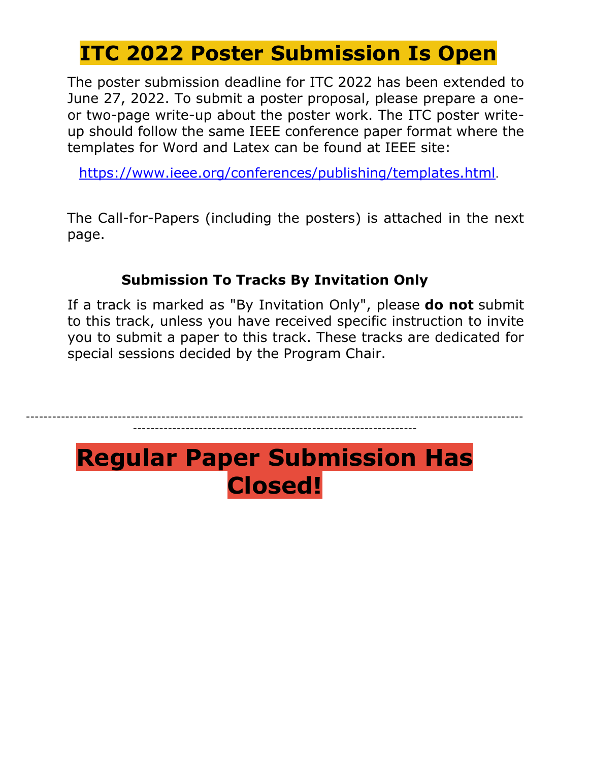# **ITC 2022 Poster Submission Is Open**

The poster submission deadline for ITC 2022 has been extended to June 27, 2022. To submit a poster proposal, please prepare a oneor two-page write-up about the poster work. The ITC poster writeup should follow the same IEEE conference paper format where the templates for Word and Latex can be found at IEEE site:

<https://www.ieee.org/conferences/publishing/templates.html>.

The Call-for-Papers (including the posters) is attached in the next page.

### **Submission To Tracks By Invitation Only**

If a track is marked as "By Invitation Only", please **do not** submit to this track, unless you have received specific instruction to invite you to submit a paper to this track. These tracks are dedicated for special sessions decided by the Program Chair.